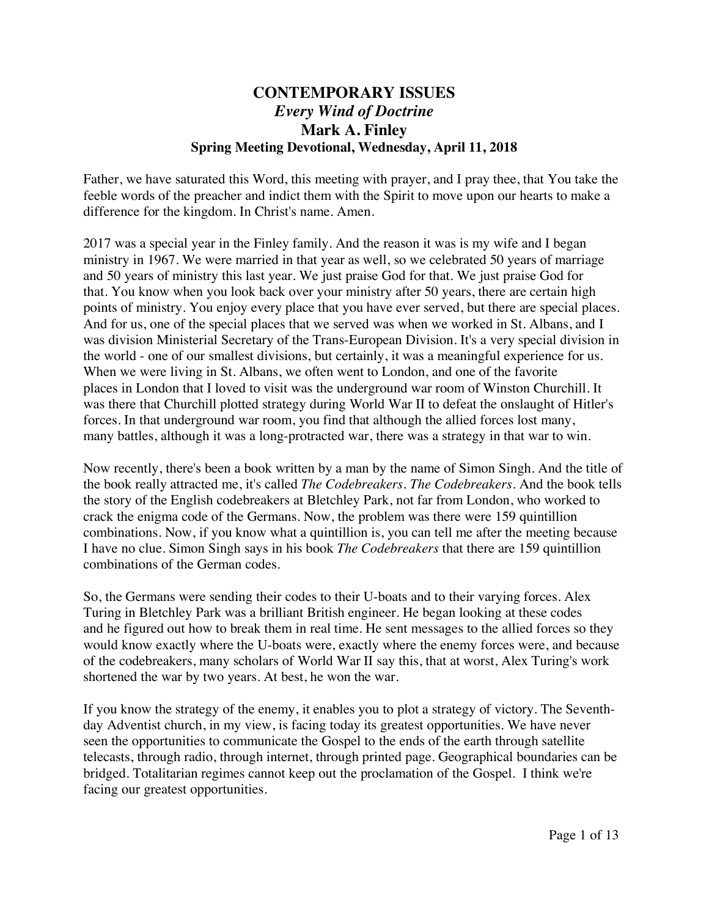## **CONTEMPORARY ISSUES** *Every Wind of Doctrine* **Mark A. Finley Spring Meeting Devotional, Wednesday, April 11, 2018**

Father, we have saturated this Word, this meeting with prayer, and I pray thee, that You take the feeble words of the preacher and indict them with the Spirit to move upon our hearts to make a difference for the kingdom. In Christ's name. Amen.

2017 was a special year in the Finley family. And the reason it was is my wife and I began ministry in 1967. We were married in that year as well, so we celebrated 50 years of marriage and 50 years of ministry this last year. We just praise God for that. We just praise God for that. You know when you look back over your ministry after 50 years, there are certain high points of ministry. You enjoy every place that you have ever served, but there are special places. And for us, one of the special places that we served was when we worked in St. Albans, and I was division Ministerial Secretary of the Trans-European Division. It's a very special division in the world - one of our smallest divisions, but certainly, it was a meaningful experience for us. When we were living in St. Albans, we often went to London, and one of the favorite places in London that I loved to visit was the underground war room of Winston Churchill. It was there that Churchill plotted strategy during World War II to defeat the onslaught of Hitler's forces. In that underground war room, you find that although the allied forces lost many, many battles, although it was a long-protracted war, there was a strategy in that war to win.

Now recently, there's been a book written by a man by the name of Simon Singh. And the title of the book really attracted me, it's called *The Codebreakers. The Codebreakers*. And the book tells the story of the English codebreakers at Bletchley Park, not far from London, who worked to crack the enigma code of the Germans. Now, the problem was there were 159 quintillion combinations. Now, if you know what a quintillion is, you can tell me after the meeting because I have no clue. Simon Singh says in his book *The Codebreakers* that there are 159 quintillion combinations of the German codes.

So, the Germans were sending their codes to their U-boats and to their varying forces. Alex Turing in Bletchley Park was a brilliant British engineer. He began looking at these codes and he figured out how to break them in real time. He sent messages to the allied forces so they would know exactly where the U-boats were, exactly where the enemy forces were, and because of the codebreakers, many scholars of World War II say this, that at worst, Alex Turing's work shortened the war by two years. At best, he won the war.

If you know the strategy of the enemy, it enables you to plot a strategy of victory. The Seventhday Adventist church, in my view, is facing today its greatest opportunities. We have never seen the opportunities to communicate the Gospel to the ends of the earth through satellite telecasts, through radio, through internet, through printed page. Geographical boundaries can be bridged. Totalitarian regimes cannot keep out the proclamation of the Gospel. I think we're facing our greatest opportunities.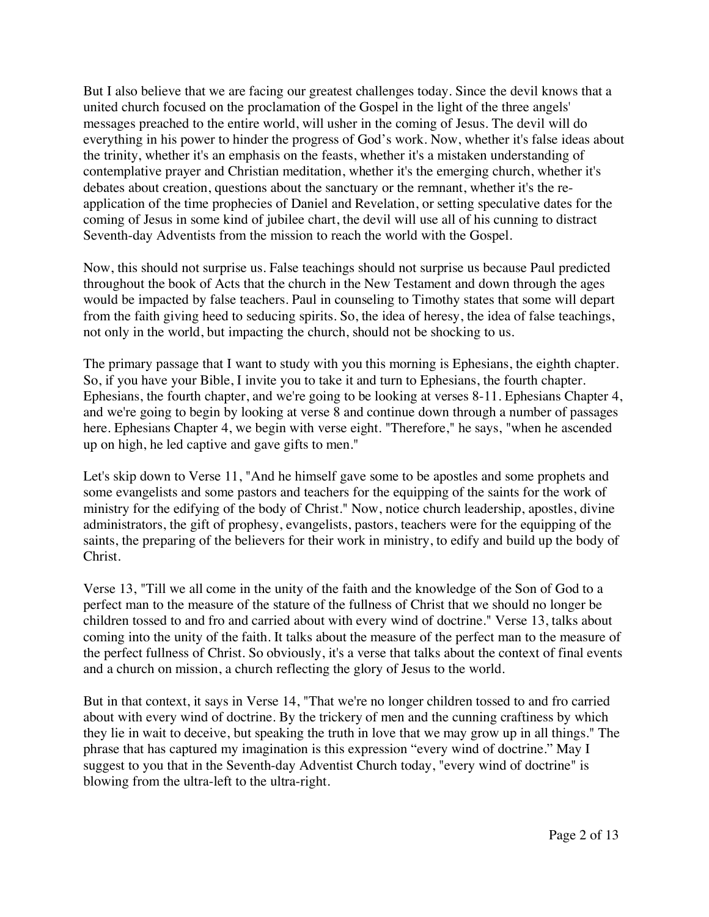But I also believe that we are facing our greatest challenges today. Since the devil knows that a united church focused on the proclamation of the Gospel in the light of the three angels' messages preached to the entire world, will usher in the coming of Jesus. The devil will do everything in his power to hinder the progress of God's work. Now, whether it's false ideas about the trinity, whether it's an emphasis on the feasts, whether it's a mistaken understanding of contemplative prayer and Christian meditation, whether it's the emerging church, whether it's debates about creation, questions about the sanctuary or the remnant, whether it's the reapplication of the time prophecies of Daniel and Revelation, or setting speculative dates for the coming of Jesus in some kind of jubilee chart, the devil will use all of his cunning to distract Seventh-day Adventists from the mission to reach the world with the Gospel.

Now, this should not surprise us. False teachings should not surprise us because Paul predicted throughout the book of Acts that the church in the New Testament and down through the ages would be impacted by false teachers. Paul in counseling to Timothy states that some will depart from the faith giving heed to seducing spirits. So, the idea of heresy, the idea of false teachings, not only in the world, but impacting the church, should not be shocking to us.

The primary passage that I want to study with you this morning is Ephesians, the eighth chapter. So, if you have your Bible, I invite you to take it and turn to Ephesians, the fourth chapter. Ephesians, the fourth chapter, and we're going to be looking at verses 8-11. Ephesians Chapter 4, and we're going to begin by looking at verse 8 and continue down through a number of passages here. Ephesians Chapter 4, we begin with verse eight. "Therefore," he says, "when he ascended up on high, he led captive and gave gifts to men."

Let's skip down to Verse 11, "And he himself gave some to be apostles and some prophets and some evangelists and some pastors and teachers for the equipping of the saints for the work of ministry for the edifying of the body of Christ." Now, notice church leadership, apostles, divine administrators, the gift of prophesy, evangelists, pastors, teachers were for the equipping of the saints, the preparing of the believers for their work in ministry, to edify and build up the body of Christ.

Verse 13, "Till we all come in the unity of the faith and the knowledge of the Son of God to a perfect man to the measure of the stature of the fullness of Christ that we should no longer be children tossed to and fro and carried about with every wind of doctrine." Verse 13, talks about coming into the unity of the faith. It talks about the measure of the perfect man to the measure of the perfect fullness of Christ. So obviously, it's a verse that talks about the context of final events and a church on mission, a church reflecting the glory of Jesus to the world.

But in that context, it says in Verse 14, "That we're no longer children tossed to and fro carried about with every wind of doctrine. By the trickery of men and the cunning craftiness by which they lie in wait to deceive, but speaking the truth in love that we may grow up in all things." The phrase that has captured my imagination is this expression "every wind of doctrine." May I suggest to you that in the Seventh-day Adventist Church today, "every wind of doctrine" is blowing from the ultra-left to the ultra-right.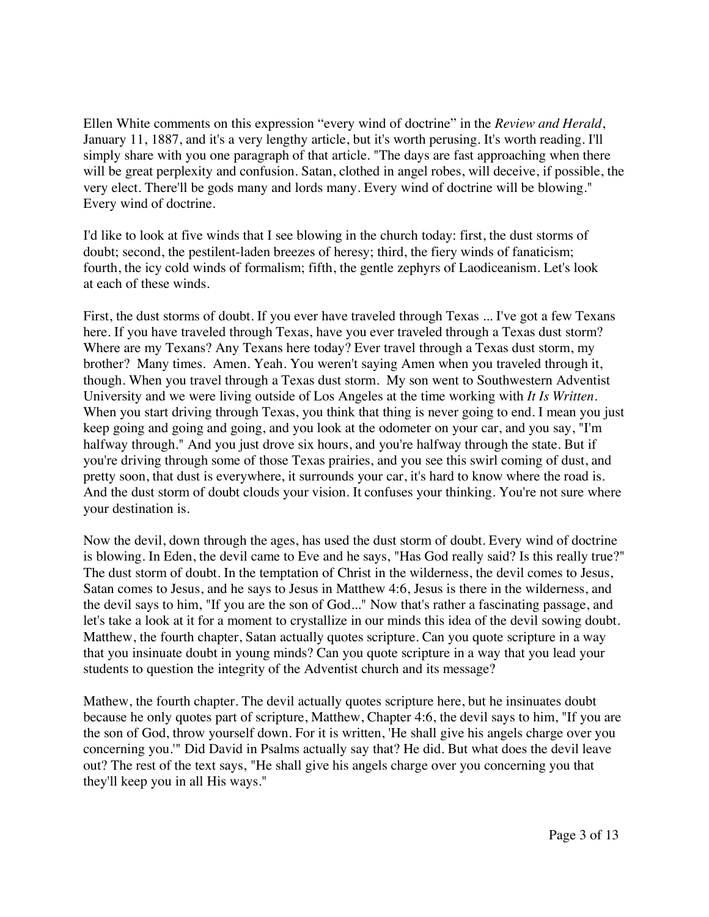Ellen White comments on this expression "every wind of doctrine" in the *Review and Herald*, January 11, 1887, and it's a very lengthy article, but it's worth perusing. It's worth reading. I'll simply share with you one paragraph of that article. "The days are fast approaching when there will be great perplexity and confusion. Satan, clothed in angel robes, will deceive, if possible, the very elect. There'll be gods many and lords many. Every wind of doctrine will be blowing." Every wind of doctrine.

I'd like to look at five winds that I see blowing in the church today: first, the dust storms of doubt; second, the pestilent-laden breezes of heresy; third, the fiery winds of fanaticism; fourth, the icy cold winds of formalism; fifth, the gentle zephyrs of Laodiceanism. Let's look at each of these winds.

First, the dust storms of doubt. If you ever have traveled through Texas ... I've got a few Texans here. If you have traveled through Texas, have you ever traveled through a Texas dust storm? Where are my Texans? Any Texans here today? Ever travel through a Texas dust storm, my brother? Many times. Amen. Yeah. You weren't saying Amen when you traveled through it, though. When you travel through a Texas dust storm. My son went to Southwestern Adventist University and we were living outside of Los Angeles at the time working with *It Is Written*. When you start driving through Texas, you think that thing is never going to end. I mean you just keep going and going and going, and you look at the odometer on your car, and you say, "I'm halfway through." And you just drove six hours, and you're halfway through the state. But if you're driving through some of those Texas prairies, and you see this swirl coming of dust, and pretty soon, that dust is everywhere, it surrounds your car, it's hard to know where the road is. And the dust storm of doubt clouds your vision. It confuses your thinking. You're not sure where your destination is.

Now the devil, down through the ages, has used the dust storm of doubt. Every wind of doctrine is blowing. In Eden, the devil came to Eve and he says, "Has God really said? Is this really true?" The dust storm of doubt. In the temptation of Christ in the wilderness, the devil comes to Jesus, Satan comes to Jesus, and he says to Jesus in Matthew 4:6, Jesus is there in the wilderness, and the devil says to him, "If you are the son of God..." Now that's rather a fascinating passage, and let's take a look at it for a moment to crystallize in our minds this idea of the devil sowing doubt. Matthew, the fourth chapter, Satan actually quotes scripture. Can you quote scripture in a way that you insinuate doubt in young minds? Can you quote scripture in a way that you lead your students to question the integrity of the Adventist church and its message?

Mathew, the fourth chapter. The devil actually quotes scripture here, but he insinuates doubt because he only quotes part of scripture, Matthew, Chapter 4:6, the devil says to him, "If you are the son of God, throw yourself down. For it is written, 'He shall give his angels charge over you concerning you.'" Did David in Psalms actually say that? He did. But what does the devil leave out? The rest of the text says, "He shall give his angels charge over you concerning you that they'll keep you in all His ways."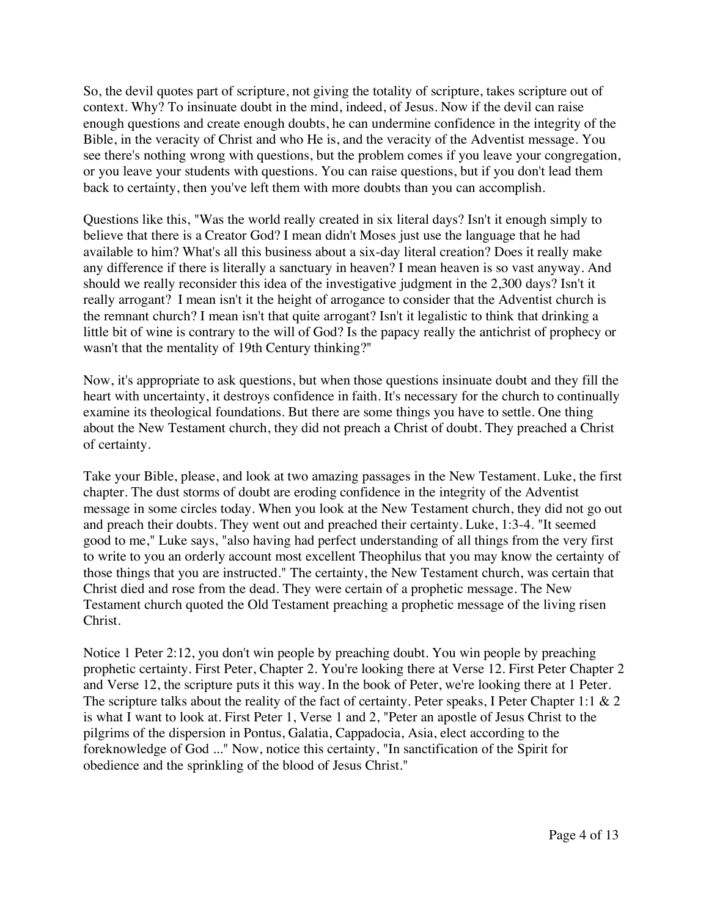So, the devil quotes part of scripture, not giving the totality of scripture, takes scripture out of context. Why? To insinuate doubt in the mind, indeed, of Jesus. Now if the devil can raise enough questions and create enough doubts, he can undermine confidence in the integrity of the Bible, in the veracity of Christ and who He is, and the veracity of the Adventist message. You see there's nothing wrong with questions, but the problem comes if you leave your congregation, or you leave your students with questions. You can raise questions, but if you don't lead them back to certainty, then you've left them with more doubts than you can accomplish.

Questions like this, "Was the world really created in six literal days? Isn't it enough simply to believe that there is a Creator God? I mean didn't Moses just use the language that he had available to him? What's all this business about a six-day literal creation? Does it really make any difference if there is literally a sanctuary in heaven? I mean heaven is so vast anyway. And should we really reconsider this idea of the investigative judgment in the 2,300 days? Isn't it really arrogant? I mean isn't it the height of arrogance to consider that the Adventist church is the remnant church? I mean isn't that quite arrogant? Isn't it legalistic to think that drinking a little bit of wine is contrary to the will of God? Is the papacy really the antichrist of prophecy or wasn't that the mentality of 19th Century thinking?"

Now, it's appropriate to ask questions, but when those questions insinuate doubt and they fill the heart with uncertainty, it destroys confidence in faith. It's necessary for the church to continually examine its theological foundations. But there are some things you have to settle. One thing about the New Testament church, they did not preach a Christ of doubt. They preached a Christ of certainty.

Take your Bible, please, and look at two amazing passages in the New Testament. Luke, the first chapter. The dust storms of doubt are eroding confidence in the integrity of the Adventist message in some circles today. When you look at the New Testament church, they did not go out and preach their doubts. They went out and preached their certainty. Luke, 1:3-4. "It seemed good to me," Luke says, "also having had perfect understanding of all things from the very first to write to you an orderly account most excellent Theophilus that you may know the certainty of those things that you are instructed." The certainty, the New Testament church, was certain that Christ died and rose from the dead. They were certain of a prophetic message. The New Testament church quoted the Old Testament preaching a prophetic message of the living risen Christ.

Notice 1 Peter 2:12, you don't win people by preaching doubt. You win people by preaching prophetic certainty. First Peter, Chapter 2. You're looking there at Verse 12. First Peter Chapter 2 and Verse 12, the scripture puts it this way. In the book of Peter, we're looking there at 1 Peter. The scripture talks about the reality of the fact of certainty. Peter speaks, I Peter Chapter 1:1 & 2 is what I want to look at. First Peter 1, Verse 1 and 2, "Peter an apostle of Jesus Christ to the pilgrims of the dispersion in Pontus, Galatia, Cappadocia, Asia, elect according to the foreknowledge of God ..." Now, notice this certainty, "In sanctification of the Spirit for obedience and the sprinkling of the blood of Jesus Christ."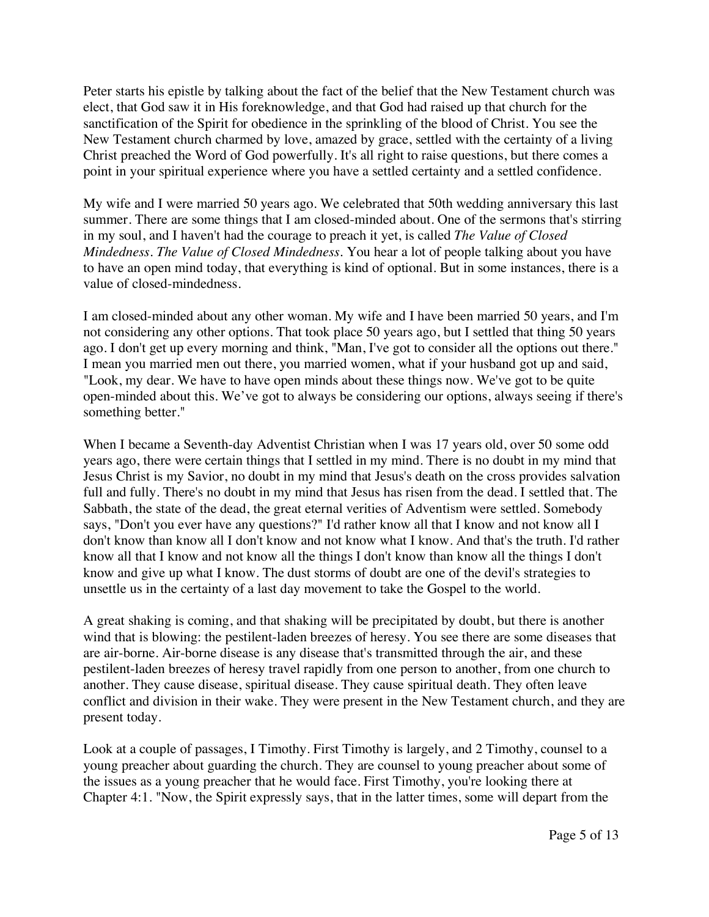Peter starts his epistle by talking about the fact of the belief that the New Testament church was elect, that God saw it in His foreknowledge, and that God had raised up that church for the sanctification of the Spirit for obedience in the sprinkling of the blood of Christ. You see the New Testament church charmed by love, amazed by grace, settled with the certainty of a living Christ preached the Word of God powerfully. It's all right to raise questions, but there comes a point in your spiritual experience where you have a settled certainty and a settled confidence.

My wife and I were married 50 years ago. We celebrated that 50th wedding anniversary this last summer. There are some things that I am closed-minded about. One of the sermons that's stirring in my soul, and I haven't had the courage to preach it yet, is called *The Value of Closed Mindedness. The Value of Closed Mindedness.* You hear a lot of people talking about you have to have an open mind today, that everything is kind of optional. But in some instances, there is a value of closed-mindedness.

I am closed-minded about any other woman. My wife and I have been married 50 years, and I'm not considering any other options. That took place 50 years ago, but I settled that thing 50 years ago. I don't get up every morning and think, "Man, I've got to consider all the options out there." I mean you married men out there, you married women, what if your husband got up and said, "Look, my dear. We have to have open minds about these things now. We've got to be quite open-minded about this. We've got to always be considering our options, always seeing if there's something better."

When I became a Seventh-day Adventist Christian when I was 17 years old, over 50 some odd years ago, there were certain things that I settled in my mind. There is no doubt in my mind that Jesus Christ is my Savior, no doubt in my mind that Jesus's death on the cross provides salvation full and fully. There's no doubt in my mind that Jesus has risen from the dead. I settled that. The Sabbath, the state of the dead, the great eternal verities of Adventism were settled. Somebody says, "Don't you ever have any questions?" I'd rather know all that I know and not know all I don't know than know all I don't know and not know what I know. And that's the truth. I'd rather know all that I know and not know all the things I don't know than know all the things I don't know and give up what I know. The dust storms of doubt are one of the devil's strategies to unsettle us in the certainty of a last day movement to take the Gospel to the world.

A great shaking is coming, and that shaking will be precipitated by doubt, but there is another wind that is blowing: the pestilent-laden breezes of heresy. You see there are some diseases that are air-borne. Air-borne disease is any disease that's transmitted through the air, and these pestilent-laden breezes of heresy travel rapidly from one person to another, from one church to another. They cause disease, spiritual disease. They cause spiritual death. They often leave conflict and division in their wake. They were present in the New Testament church, and they are present today.

Look at a couple of passages, I Timothy. First Timothy is largely, and 2 Timothy, counsel to a young preacher about guarding the church. They are counsel to young preacher about some of the issues as a young preacher that he would face. First Timothy, you're looking there at Chapter 4:1. "Now, the Spirit expressly says, that in the latter times, some will depart from the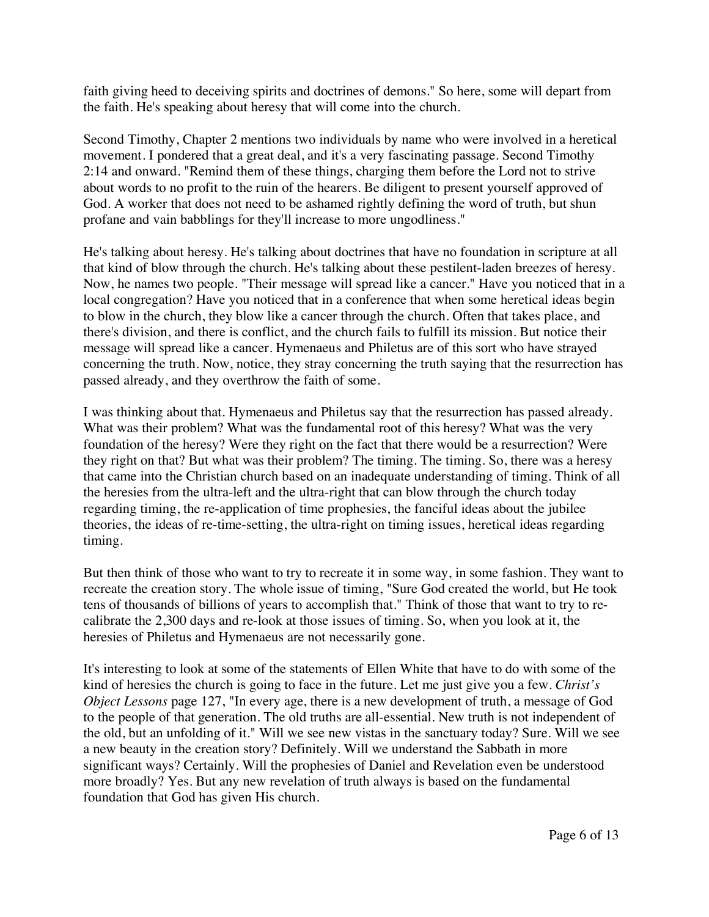faith giving heed to deceiving spirits and doctrines of demons." So here, some will depart from the faith. He's speaking about heresy that will come into the church.

Second Timothy, Chapter 2 mentions two individuals by name who were involved in a heretical movement. I pondered that a great deal, and it's a very fascinating passage. Second Timothy 2:14 and onward. "Remind them of these things, charging them before the Lord not to strive about words to no profit to the ruin of the hearers. Be diligent to present yourself approved of God. A worker that does not need to be ashamed rightly defining the word of truth, but shun profane and vain babblings for they'll increase to more ungodliness."

He's talking about heresy. He's talking about doctrines that have no foundation in scripture at all that kind of blow through the church. He's talking about these pestilent-laden breezes of heresy. Now, he names two people. "Their message will spread like a cancer." Have you noticed that in a local congregation? Have you noticed that in a conference that when some heretical ideas begin to blow in the church, they blow like a cancer through the church. Often that takes place, and there's division, and there is conflict, and the church fails to fulfill its mission. But notice their message will spread like a cancer. Hymenaeus and Philetus are of this sort who have strayed concerning the truth. Now, notice, they stray concerning the truth saying that the resurrection has passed already, and they overthrow the faith of some.

I was thinking about that. Hymenaeus and Philetus say that the resurrection has passed already. What was their problem? What was the fundamental root of this heresy? What was the very foundation of the heresy? Were they right on the fact that there would be a resurrection? Were they right on that? But what was their problem? The timing. The timing. So, there was a heresy that came into the Christian church based on an inadequate understanding of timing. Think of all the heresies from the ultra-left and the ultra-right that can blow through the church today regarding timing, the re-application of time prophesies, the fanciful ideas about the jubilee theories, the ideas of re-time-setting, the ultra-right on timing issues, heretical ideas regarding timing.

But then think of those who want to try to recreate it in some way, in some fashion. They want to recreate the creation story. The whole issue of timing, "Sure God created the world, but He took tens of thousands of billions of years to accomplish that." Think of those that want to try to recalibrate the 2,300 days and re-look at those issues of timing. So, when you look at it, the heresies of Philetus and Hymenaeus are not necessarily gone.

It's interesting to look at some of the statements of Ellen White that have to do with some of the kind of heresies the church is going to face in the future. Let me just give you a few. *Christ's Object Lessons* page 127, "In every age, there is a new development of truth, a message of God to the people of that generation. The old truths are all-essential. New truth is not independent of the old, but an unfolding of it." Will we see new vistas in the sanctuary today? Sure. Will we see a new beauty in the creation story? Definitely. Will we understand the Sabbath in more significant ways? Certainly. Will the prophesies of Daniel and Revelation even be understood more broadly? Yes. But any new revelation of truth always is based on the fundamental foundation that God has given His church.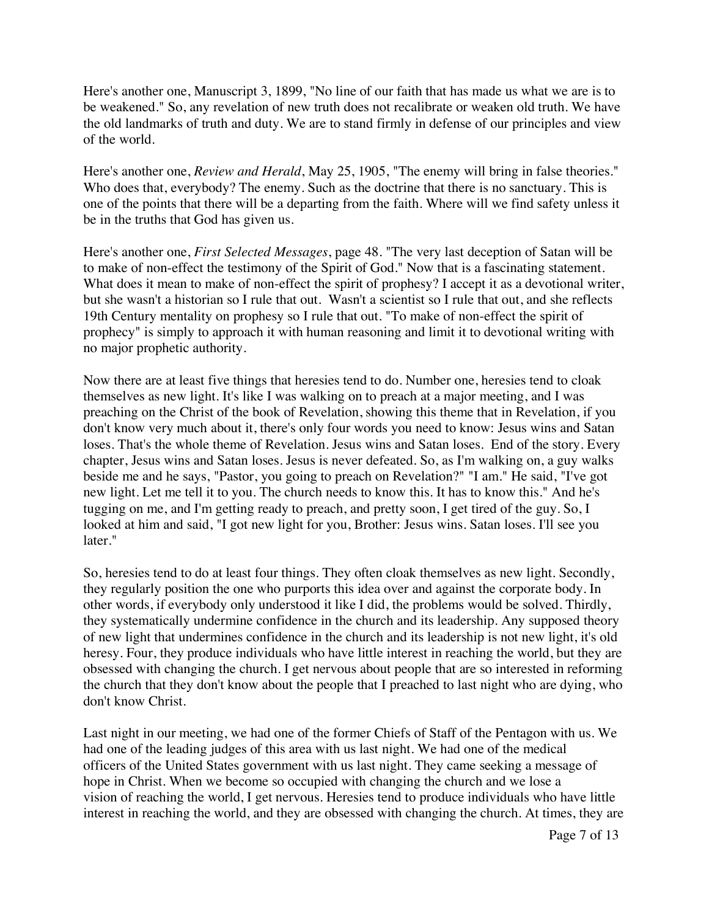Here's another one, Manuscript 3, 1899, "No line of our faith that has made us what we are is to be weakened." So, any revelation of new truth does not recalibrate or weaken old truth. We have the old landmarks of truth and duty. We are to stand firmly in defense of our principles and view of the world.

Here's another one, *Review and Herald*, May 25, 1905, "The enemy will bring in false theories." Who does that, everybody? The enemy. Such as the doctrine that there is no sanctuary. This is one of the points that there will be a departing from the faith. Where will we find safety unless it be in the truths that God has given us.

Here's another one, *First Selected Messages*, page 48. "The very last deception of Satan will be to make of non-effect the testimony of the Spirit of God." Now that is a fascinating statement. What does it mean to make of non-effect the spirit of prophesy? I accept it as a devotional writer, but she wasn't a historian so I rule that out. Wasn't a scientist so I rule that out, and she reflects 19th Century mentality on prophesy so I rule that out. "To make of non-effect the spirit of prophecy" is simply to approach it with human reasoning and limit it to devotional writing with no major prophetic authority.

Now there are at least five things that heresies tend to do. Number one, heresies tend to cloak themselves as new light. It's like I was walking on to preach at a major meeting, and I was preaching on the Christ of the book of Revelation, showing this theme that in Revelation, if you don't know very much about it, there's only four words you need to know: Jesus wins and Satan loses. That's the whole theme of Revelation. Jesus wins and Satan loses. End of the story. Every chapter, Jesus wins and Satan loses. Jesus is never defeated. So, as I'm walking on, a guy walks beside me and he says, "Pastor, you going to preach on Revelation?" "I am." He said, "I've got new light. Let me tell it to you. The church needs to know this. It has to know this." And he's tugging on me, and I'm getting ready to preach, and pretty soon, I get tired of the guy. So, I looked at him and said, "I got new light for you, Brother: Jesus wins. Satan loses. I'll see you later."

So, heresies tend to do at least four things. They often cloak themselves as new light. Secondly, they regularly position the one who purports this idea over and against the corporate body. In other words, if everybody only understood it like I did, the problems would be solved. Thirdly, they systematically undermine confidence in the church and its leadership. Any supposed theory of new light that undermines confidence in the church and its leadership is not new light, it's old heresy. Four, they produce individuals who have little interest in reaching the world, but they are obsessed with changing the church. I get nervous about people that are so interested in reforming the church that they don't know about the people that I preached to last night who are dying, who don't know Christ.

Last night in our meeting, we had one of the former Chiefs of Staff of the Pentagon with us. We had one of the leading judges of this area with us last night. We had one of the medical officers of the United States government with us last night. They came seeking a message of hope in Christ. When we become so occupied with changing the church and we lose a vision of reaching the world, I get nervous. Heresies tend to produce individuals who have little interest in reaching the world, and they are obsessed with changing the church. At times, they are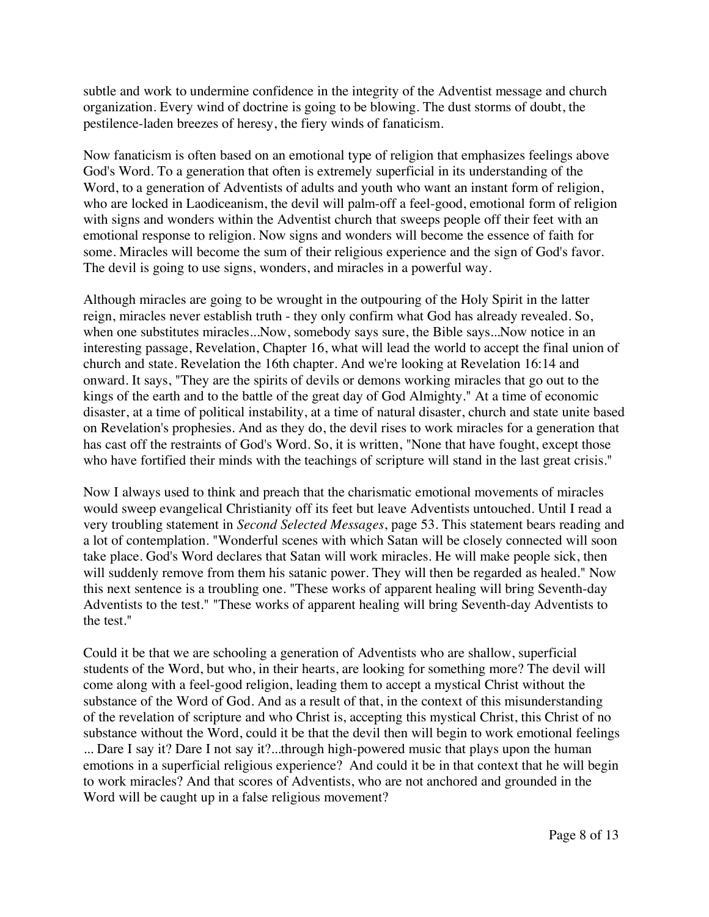subtle and work to undermine confidence in the integrity of the Adventist message and church organization. Every wind of doctrine is going to be blowing. The dust storms of doubt, the pestilence-laden breezes of heresy, the fiery winds of fanaticism.

Now fanaticism is often based on an emotional type of religion that emphasizes feelings above God's Word. To a generation that often is extremely superficial in its understanding of the Word, to a generation of Adventists of adults and youth who want an instant form of religion, who are locked in Laodiceanism, the devil will palm-off a feel-good, emotional form of religion with signs and wonders within the Adventist church that sweeps people off their feet with an emotional response to religion. Now signs and wonders will become the essence of faith for some. Miracles will become the sum of their religious experience and the sign of God's favor. The devil is going to use signs, wonders, and miracles in a powerful way.

Although miracles are going to be wrought in the outpouring of the Holy Spirit in the latter reign, miracles never establish truth - they only confirm what God has already revealed. So, when one substitutes miracles...Now, somebody says sure, the Bible says...Now notice in an interesting passage, Revelation, Chapter 16, what will lead the world to accept the final union of church and state. Revelation the 16th chapter. And we're looking at Revelation 16:14 and onward. It says, "They are the spirits of devils or demons working miracles that go out to the kings of the earth and to the battle of the great day of God Almighty." At a time of economic disaster, at a time of political instability, at a time of natural disaster, church and state unite based on Revelation's prophesies. And as they do, the devil rises to work miracles for a generation that has cast off the restraints of God's Word. So, it is written, "None that have fought, except those who have fortified their minds with the teachings of scripture will stand in the last great crisis."

Now I always used to think and preach that the charismatic emotional movements of miracles would sweep evangelical Christianity off its feet but leave Adventists untouched. Until I read a very troubling statement in *Second Selected Messages*, page 53. This statement bears reading and a lot of contemplation. "Wonderful scenes with which Satan will be closely connected will soon take place. God's Word declares that Satan will work miracles. He will make people sick, then will suddenly remove from them his satanic power. They will then be regarded as healed." Now this next sentence is a troubling one. "These works of apparent healing will bring Seventh-day Adventists to the test." "These works of apparent healing will bring Seventh-day Adventists to the test."

Could it be that we are schooling a generation of Adventists who are shallow, superficial students of the Word, but who, in their hearts, are looking for something more? The devil will come along with a feel-good religion, leading them to accept a mystical Christ without the substance of the Word of God. And as a result of that, in the context of this misunderstanding of the revelation of scripture and who Christ is, accepting this mystical Christ, this Christ of no substance without the Word, could it be that the devil then will begin to work emotional feelings ... Dare I say it? Dare I not say it?...through high-powered music that plays upon the human emotions in a superficial religious experience? And could it be in that context that he will begin to work miracles? And that scores of Adventists, who are not anchored and grounded in the Word will be caught up in a false religious movement?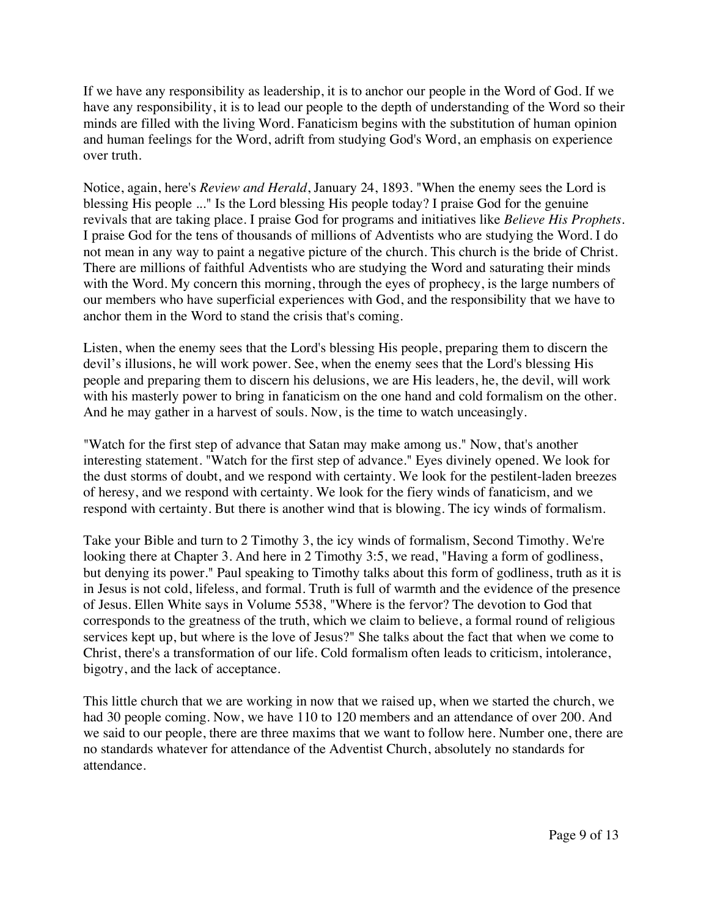If we have any responsibility as leadership, it is to anchor our people in the Word of God. If we have any responsibility, it is to lead our people to the depth of understanding of the Word so their minds are filled with the living Word. Fanaticism begins with the substitution of human opinion and human feelings for the Word, adrift from studying God's Word, an emphasis on experience over truth.

Notice, again, here's *Review and Herald*, January 24, 1893. "When the enemy sees the Lord is blessing His people ..." Is the Lord blessing His people today? I praise God for the genuine revivals that are taking place. I praise God for programs and initiatives like *Believe His Prophets*. I praise God for the tens of thousands of millions of Adventists who are studying the Word. I do not mean in any way to paint a negative picture of the church. This church is the bride of Christ. There are millions of faithful Adventists who are studying the Word and saturating their minds with the Word. My concern this morning, through the eyes of prophecy, is the large numbers of our members who have superficial experiences with God, and the responsibility that we have to anchor them in the Word to stand the crisis that's coming.

Listen, when the enemy sees that the Lord's blessing His people, preparing them to discern the devil's illusions, he will work power. See, when the enemy sees that the Lord's blessing His people and preparing them to discern his delusions, we are His leaders, he, the devil, will work with his masterly power to bring in fanaticism on the one hand and cold formalism on the other. And he may gather in a harvest of souls. Now, is the time to watch unceasingly.

"Watch for the first step of advance that Satan may make among us." Now, that's another interesting statement. "Watch for the first step of advance." Eyes divinely opened. We look for the dust storms of doubt, and we respond with certainty. We look for the pestilent-laden breezes of heresy, and we respond with certainty. We look for the fiery winds of fanaticism, and we respond with certainty. But there is another wind that is blowing. The icy winds of formalism.

Take your Bible and turn to 2 Timothy 3, the icy winds of formalism, Second Timothy. We're looking there at Chapter 3. And here in 2 Timothy 3:5, we read, "Having a form of godliness, but denying its power." Paul speaking to Timothy talks about this form of godliness, truth as it is in Jesus is not cold, lifeless, and formal. Truth is full of warmth and the evidence of the presence of Jesus. Ellen White says in Volume 5538, "Where is the fervor? The devotion to God that corresponds to the greatness of the truth, which we claim to believe, a formal round of religious services kept up, but where is the love of Jesus?" She talks about the fact that when we come to Christ, there's a transformation of our life. Cold formalism often leads to criticism, intolerance, bigotry, and the lack of acceptance.

This little church that we are working in now that we raised up, when we started the church, we had 30 people coming. Now, we have 110 to 120 members and an attendance of over 200. And we said to our people, there are three maxims that we want to follow here. Number one, there are no standards whatever for attendance of the Adventist Church, absolutely no standards for attendance.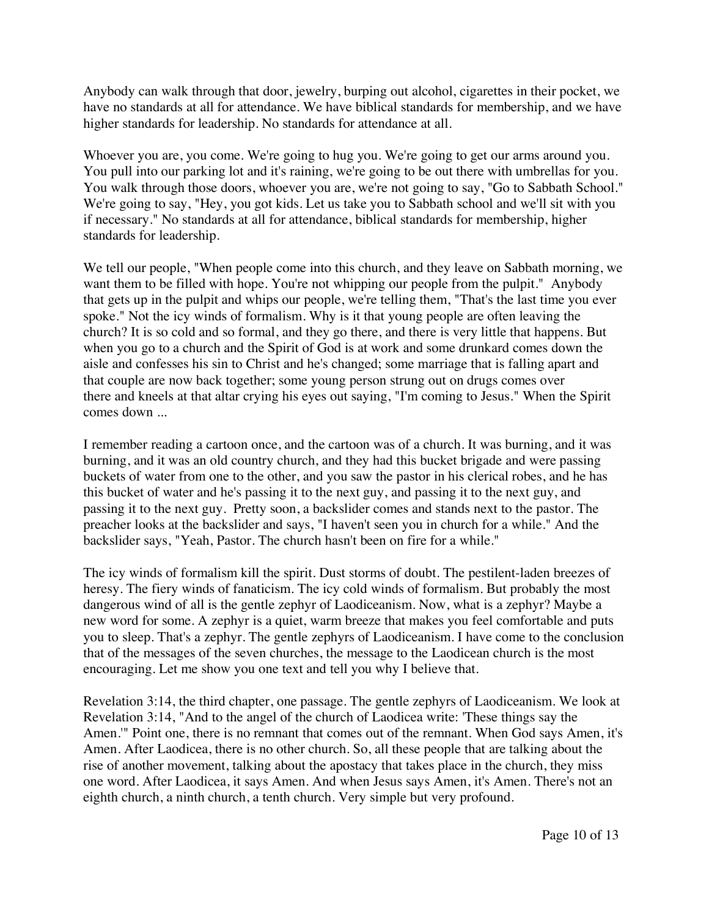Anybody can walk through that door, jewelry, burping out alcohol, cigarettes in their pocket, we have no standards at all for attendance. We have biblical standards for membership, and we have higher standards for leadership. No standards for attendance at all.

Whoever you are, you come. We're going to hug you. We're going to get our arms around you. You pull into our parking lot and it's raining, we're going to be out there with umbrellas for you. You walk through those doors, whoever you are, we're not going to say, "Go to Sabbath School." We're going to say, "Hey, you got kids. Let us take you to Sabbath school and we'll sit with you if necessary." No standards at all for attendance, biblical standards for membership, higher standards for leadership.

We tell our people, "When people come into this church, and they leave on Sabbath morning, we want them to be filled with hope. You're not whipping our people from the pulpit." Anybody that gets up in the pulpit and whips our people, we're telling them, "That's the last time you ever spoke." Not the icy winds of formalism. Why is it that young people are often leaving the church? It is so cold and so formal, and they go there, and there is very little that happens. But when you go to a church and the Spirit of God is at work and some drunkard comes down the aisle and confesses his sin to Christ and he's changed; some marriage that is falling apart and that couple are now back together; some young person strung out on drugs comes over there and kneels at that altar crying his eyes out saying, "I'm coming to Jesus." When the Spirit comes down ...

I remember reading a cartoon once, and the cartoon was of a church. It was burning, and it was burning, and it was an old country church, and they had this bucket brigade and were passing buckets of water from one to the other, and you saw the pastor in his clerical robes, and he has this bucket of water and he's passing it to the next guy, and passing it to the next guy, and passing it to the next guy. Pretty soon, a backslider comes and stands next to the pastor. The preacher looks at the backslider and says, "I haven't seen you in church for a while." And the backslider says, "Yeah, Pastor. The church hasn't been on fire for a while."

The icy winds of formalism kill the spirit. Dust storms of doubt. The pestilent-laden breezes of heresy. The fiery winds of fanaticism. The icy cold winds of formalism. But probably the most dangerous wind of all is the gentle zephyr of Laodiceanism. Now, what is a zephyr? Maybe a new word for some. A zephyr is a quiet, warm breeze that makes you feel comfortable and puts you to sleep. That's a zephyr. The gentle zephyrs of Laodiceanism. I have come to the conclusion that of the messages of the seven churches, the message to the Laodicean church is the most encouraging. Let me show you one text and tell you why I believe that.

Revelation 3:14, the third chapter, one passage. The gentle zephyrs of Laodiceanism. We look at Revelation 3:14, "And to the angel of the church of Laodicea write: 'These things say the Amen.'" Point one, there is no remnant that comes out of the remnant. When God says Amen, it's Amen. After Laodicea, there is no other church. So, all these people that are talking about the rise of another movement, talking about the apostacy that takes place in the church, they miss one word. After Laodicea, it says Amen. And when Jesus says Amen, it's Amen. There's not an eighth church, a ninth church, a tenth church. Very simple but very profound.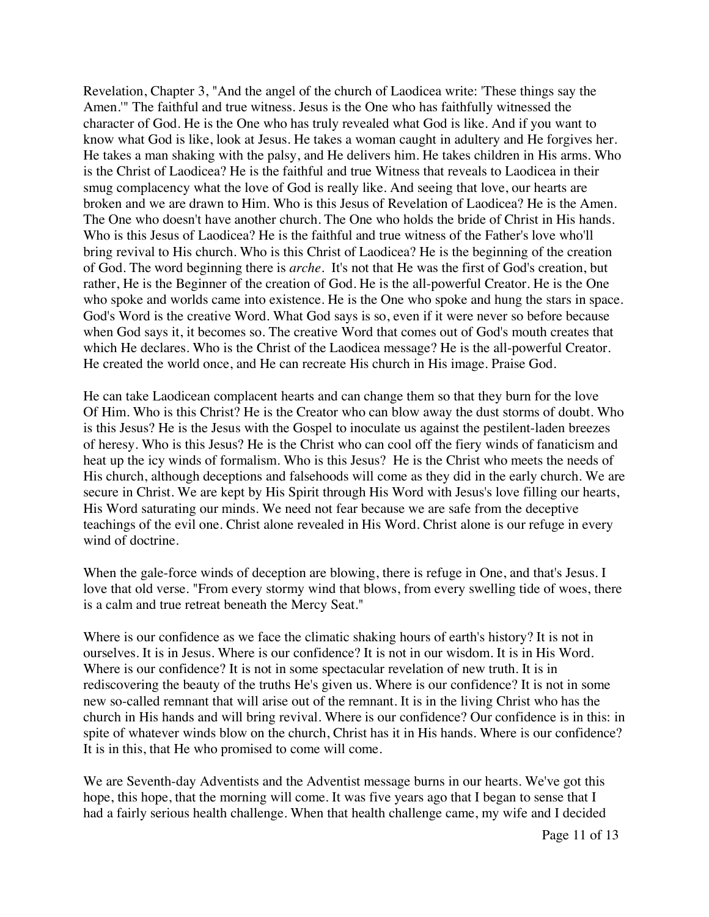Revelation, Chapter 3, "And the angel of the church of Laodicea write: 'These things say the Amen.'" The faithful and true witness. Jesus is the One who has faithfully witnessed the character of God. He is the One who has truly revealed what God is like. And if you want to know what God is like, look at Jesus. He takes a woman caught in adultery and He forgives her. He takes a man shaking with the palsy, and He delivers him. He takes children in His arms. Who is the Christ of Laodicea? He is the faithful and true Witness that reveals to Laodicea in their smug complacency what the love of God is really like. And seeing that love, our hearts are broken and we are drawn to Him. Who is this Jesus of Revelation of Laodicea? He is the Amen. The One who doesn't have another church. The One who holds the bride of Christ in His hands. Who is this Jesus of Laodicea? He is the faithful and true witness of the Father's love who'll bring revival to His church. Who is this Christ of Laodicea? He is the beginning of the creation of God. The word beginning there is *arche.* It's not that He was the first of God's creation, but rather, He is the Beginner of the creation of God. He is the all-powerful Creator. He is the One who spoke and worlds came into existence. He is the One who spoke and hung the stars in space. God's Word is the creative Word. What God says is so, even if it were never so before because when God says it, it becomes so. The creative Word that comes out of God's mouth creates that which He declares. Who is the Christ of the Laodicea message? He is the all-powerful Creator. He created the world once, and He can recreate His church in His image. Praise God.

He can take Laodicean complacent hearts and can change them so that they burn for the love Of Him. Who is this Christ? He is the Creator who can blow away the dust storms of doubt. Who is this Jesus? He is the Jesus with the Gospel to inoculate us against the pestilent-laden breezes of heresy. Who is this Jesus? He is the Christ who can cool off the fiery winds of fanaticism and heat up the icy winds of formalism. Who is this Jesus? He is the Christ who meets the needs of His church, although deceptions and falsehoods will come as they did in the early church. We are secure in Christ. We are kept by His Spirit through His Word with Jesus's love filling our hearts, His Word saturating our minds. We need not fear because we are safe from the deceptive teachings of the evil one. Christ alone revealed in His Word. Christ alone is our refuge in every wind of doctrine.

When the gale-force winds of deception are blowing, there is refuge in One, and that's Jesus. I love that old verse. "From every stormy wind that blows, from every swelling tide of woes, there is a calm and true retreat beneath the Mercy Seat."

Where is our confidence as we face the climatic shaking hours of earth's history? It is not in ourselves. It is in Jesus. Where is our confidence? It is not in our wisdom. It is in His Word. Where is our confidence? It is not in some spectacular revelation of new truth. It is in rediscovering the beauty of the truths He's given us. Where is our confidence? It is not in some new so-called remnant that will arise out of the remnant. It is in the living Christ who has the church in His hands and will bring revival. Where is our confidence? Our confidence is in this: in spite of whatever winds blow on the church, Christ has it in His hands. Where is our confidence? It is in this, that He who promised to come will come.

We are Seventh-day Adventists and the Adventist message burns in our hearts. We've got this hope, this hope, that the morning will come. It was five years ago that I began to sense that I had a fairly serious health challenge. When that health challenge came, my wife and I decided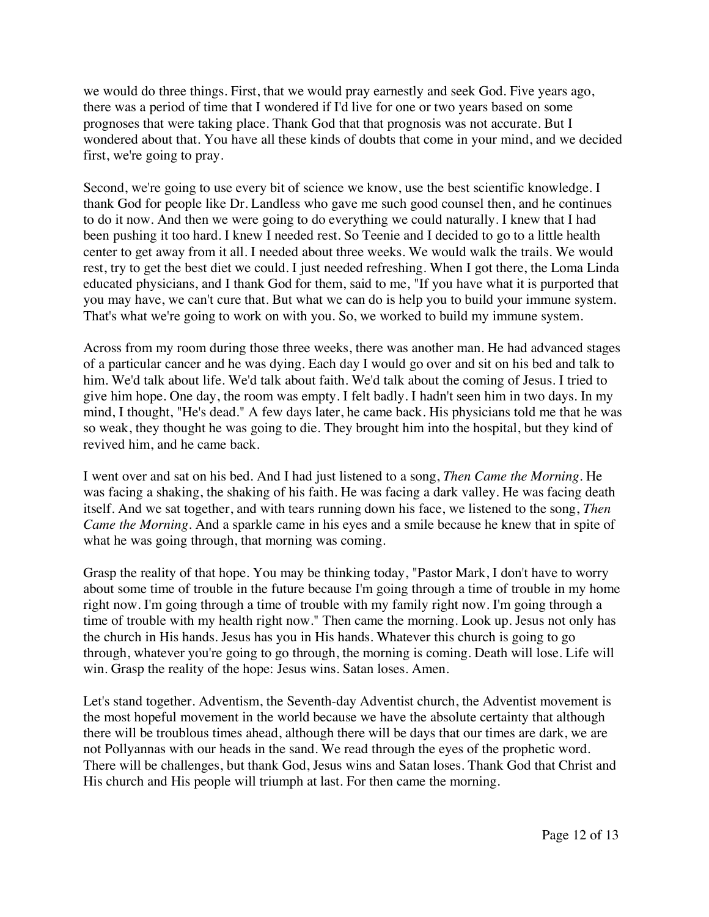we would do three things. First, that we would pray earnestly and seek God. Five years ago, there was a period of time that I wondered if I'd live for one or two years based on some prognoses that were taking place. Thank God that that prognosis was not accurate. But I wondered about that. You have all these kinds of doubts that come in your mind, and we decided first, we're going to pray.

Second, we're going to use every bit of science we know, use the best scientific knowledge. I thank God for people like Dr. Landless who gave me such good counsel then, and he continues to do it now. And then we were going to do everything we could naturally. I knew that I had been pushing it too hard. I knew I needed rest. So Teenie and I decided to go to a little health center to get away from it all. I needed about three weeks. We would walk the trails. We would rest, try to get the best diet we could. I just needed refreshing. When I got there, the Loma Linda educated physicians, and I thank God for them, said to me, "If you have what it is purported that you may have, we can't cure that. But what we can do is help you to build your immune system. That's what we're going to work on with you. So, we worked to build my immune system.

Across from my room during those three weeks, there was another man. He had advanced stages of a particular cancer and he was dying. Each day I would go over and sit on his bed and talk to him. We'd talk about life. We'd talk about faith. We'd talk about the coming of Jesus. I tried to give him hope. One day, the room was empty. I felt badly. I hadn't seen him in two days. In my mind, I thought, "He's dead." A few days later, he came back. His physicians told me that he was so weak, they thought he was going to die. They brought him into the hospital, but they kind of revived him, and he came back.

I went over and sat on his bed. And I had just listened to a song, *Then Came the Morning*. He was facing a shaking, the shaking of his faith. He was facing a dark valley. He was facing death itself. And we sat together, and with tears running down his face, we listened to the song, *Then Came the Morning*. And a sparkle came in his eyes and a smile because he knew that in spite of what he was going through, that morning was coming.

Grasp the reality of that hope. You may be thinking today, "Pastor Mark, I don't have to worry about some time of trouble in the future because I'm going through a time of trouble in my home right now. I'm going through a time of trouble with my family right now. I'm going through a time of trouble with my health right now." Then came the morning. Look up. Jesus not only has the church in His hands. Jesus has you in His hands. Whatever this church is going to go through, whatever you're going to go through, the morning is coming. Death will lose. Life will win. Grasp the reality of the hope: Jesus wins. Satan loses. Amen.

Let's stand together. Adventism, the Seventh-day Adventist church, the Adventist movement is the most hopeful movement in the world because we have the absolute certainty that although there will be troublous times ahead, although there will be days that our times are dark, we are not Pollyannas with our heads in the sand. We read through the eyes of the prophetic word. There will be challenges, but thank God, Jesus wins and Satan loses. Thank God that Christ and His church and His people will triumph at last. For then came the morning.